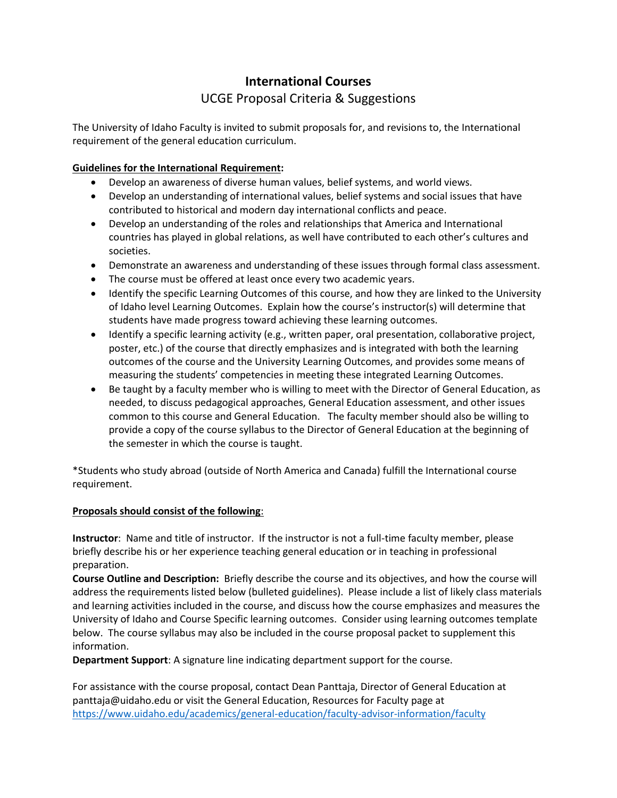## **International Courses** UCGE Proposal Criteria & Suggestions

The University of Idaho Faculty is invited to submit proposals for, and revisions to, the International requirement of the general education curriculum.

## **Guidelines for the International Requirement:**

- Develop an awareness of diverse human values, belief systems, and world views.
- Develop an understanding of international values, belief systems and social issues that have contributed to historical and modern day international conflicts and peace.
- Develop an understanding of the roles and relationships that America and International countries has played in global relations, as well have contributed to each other's cultures and societies.
- Demonstrate an awareness and understanding of these issues through formal class assessment.
- The course must be offered at least once every two academic years.
- Identify the specific Learning Outcomes of this course, and how they are linked to the University of Idaho level Learning Outcomes. Explain how the course's instructor(s) will determine that students have made progress toward achieving these learning outcomes.
- Identify a specific learning activity (e.g., written paper, oral presentation, collaborative project, poster, etc.) of the course that directly emphasizes and is integrated with both the learning outcomes of the course and the University Learning Outcomes, and provides some means of measuring the students' competencies in meeting these integrated Learning Outcomes.
- Be taught by a faculty member who is willing to meet with the Director of General Education, as needed, to discuss pedagogical approaches, General Education assessment, and other issues common to this course and General Education. The faculty member should also be willing to provide a copy of the course syllabus to the Director of General Education at the beginning of the semester in which the course is taught.

\*Students who study abroad (outside of North America and Canada) fulfill the International course requirement.

## **Proposals should consist of the following**:

**Instructor**: Name and title of instructor. If the instructor is not a full-time faculty member, please briefly describe his or her experience teaching general education or in teaching in professional preparation.

**Course Outline and Description:** Briefly describe the course and its objectives, and how the course will address the requirements listed below (bulleted guidelines). Please include a list of likely class materials and learning activities included in the course, and discuss how the course emphasizes and measures the University of Idaho and Course Specific learning outcomes. Consider using learning outcomes template below. The course syllabus may also be included in the course proposal packet to supplement this information.

**Department Support**: A signature line indicating department support for the course.

For assistance with the course proposal, contact Dean Panttaja, Director of General Education at panttaja@uidaho.edu or visit the General Education, Resources for Faculty page at <https://www.uidaho.edu/academics/general-education/faculty-advisor-information/faculty>